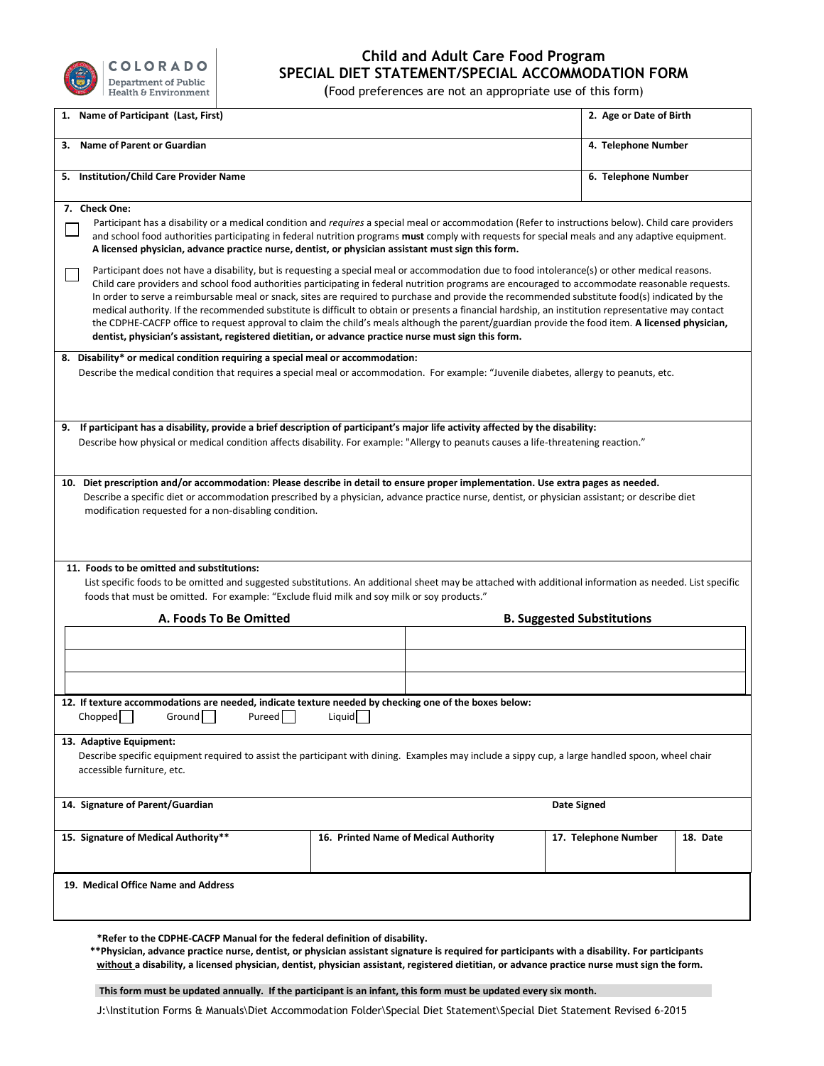

## **Child and Adult Care Food Program SPECIAL DIET STATEMENT/SPECIAL ACCOMMODATION FORM**

(Food preferences are not an appropriate use of this form)

| Name of Participant (Last, First)<br>1.                                                                                                                                                                                                                                                                                                                                                                                                                                                                                                                                                                                                                                                                                                                                                                                                                                                                                                                                                                                                                                                                                                                                                                                                                                                                 |        |                                       |                      | 2. Age or Date of Birth |  |  |
|---------------------------------------------------------------------------------------------------------------------------------------------------------------------------------------------------------------------------------------------------------------------------------------------------------------------------------------------------------------------------------------------------------------------------------------------------------------------------------------------------------------------------------------------------------------------------------------------------------------------------------------------------------------------------------------------------------------------------------------------------------------------------------------------------------------------------------------------------------------------------------------------------------------------------------------------------------------------------------------------------------------------------------------------------------------------------------------------------------------------------------------------------------------------------------------------------------------------------------------------------------------------------------------------------------|--------|---------------------------------------|----------------------|-------------------------|--|--|
| 3. Name of Parent or Guardian                                                                                                                                                                                                                                                                                                                                                                                                                                                                                                                                                                                                                                                                                                                                                                                                                                                                                                                                                                                                                                                                                                                                                                                                                                                                           |        |                                       | 4. Telephone Number  |                         |  |  |
| 5. Institution/Child Care Provider Name                                                                                                                                                                                                                                                                                                                                                                                                                                                                                                                                                                                                                                                                                                                                                                                                                                                                                                                                                                                                                                                                                                                                                                                                                                                                 |        |                                       | 6. Telephone Number  |                         |  |  |
| 7. Check One:<br>Participant has a disability or a medical condition and requires a special meal or accommodation (Refer to instructions below). Child care providers<br>and school food authorities participating in federal nutrition programs must comply with requests for special meals and any adaptive equipment.<br>A licensed physician, advance practice nurse, dentist, or physician assistant must sign this form.<br>Participant does not have a disability, but is requesting a special meal or accommodation due to food intolerance(s) or other medical reasons.<br>Child care providers and school food authorities participating in federal nutrition programs are encouraged to accommodate reasonable requests.<br>In order to serve a reimbursable meal or snack, sites are required to purchase and provide the recommended substitute food(s) indicated by the<br>medical authority. If the recommended substitute is difficult to obtain or presents a financial hardship, an institution representative may contact<br>the CDPHE-CACFP office to request approval to claim the child's meals although the parent/guardian provide the food item. A licensed physician,<br>dentist, physician's assistant, registered dietitian, or advance practice nurse must sign this form. |        |                                       |                      |                         |  |  |
| 8. Disability* or medical condition requiring a special meal or accommodation:<br>Describe the medical condition that requires a special meal or accommodation. For example: "Juvenile diabetes, allergy to peanuts, etc.                                                                                                                                                                                                                                                                                                                                                                                                                                                                                                                                                                                                                                                                                                                                                                                                                                                                                                                                                                                                                                                                               |        |                                       |                      |                         |  |  |
| 9. If participant has a disability, provide a brief description of participant's major life activity affected by the disability:<br>Describe how physical or medical condition affects disability. For example: "Allergy to peanuts causes a life-threatening reaction."                                                                                                                                                                                                                                                                                                                                                                                                                                                                                                                                                                                                                                                                                                                                                                                                                                                                                                                                                                                                                                |        |                                       |                      |                         |  |  |
| Describe a specific diet or accommodation prescribed by a physician, advance practice nurse, dentist, or physician assistant; or describe diet<br>modification requested for a non-disabling condition.<br>11. Foods to be omitted and substitutions:<br>List specific foods to be omitted and suggested substitutions. An additional sheet may be attached with additional information as needed. List specific<br>foods that must be omitted. For example: "Exclude fluid milk and soy milk or soy products."                                                                                                                                                                                                                                                                                                                                                                                                                                                                                                                                                                                                                                                                                                                                                                                         |        |                                       |                      |                         |  |  |
| A. Foods To Be Omitted                                                                                                                                                                                                                                                                                                                                                                                                                                                                                                                                                                                                                                                                                                                                                                                                                                                                                                                                                                                                                                                                                                                                                                                                                                                                                  |        | <b>B. Suggested Substitutions</b>     |                      |                         |  |  |
| 12. If texture accommodations are needed, indicate texture needed by checking one of the boxes below:                                                                                                                                                                                                                                                                                                                                                                                                                                                                                                                                                                                                                                                                                                                                                                                                                                                                                                                                                                                                                                                                                                                                                                                                   |        |                                       |                      |                         |  |  |
| Chopped<br>Ground  <br>Pureed                                                                                                                                                                                                                                                                                                                                                                                                                                                                                                                                                                                                                                                                                                                                                                                                                                                                                                                                                                                                                                                                                                                                                                                                                                                                           | Liquid |                                       |                      |                         |  |  |
| 13. Adaptive Equipment:<br>Describe specific equipment required to assist the participant with dining. Examples may include a sippy cup, a large handled spoon, wheel chair<br>accessible furniture, etc.                                                                                                                                                                                                                                                                                                                                                                                                                                                                                                                                                                                                                                                                                                                                                                                                                                                                                                                                                                                                                                                                                               |        |                                       |                      |                         |  |  |
| 14. Signature of Parent/Guardian                                                                                                                                                                                                                                                                                                                                                                                                                                                                                                                                                                                                                                                                                                                                                                                                                                                                                                                                                                                                                                                                                                                                                                                                                                                                        |        | <b>Date Signed</b>                    |                      |                         |  |  |
| 15. Signature of Medical Authority**                                                                                                                                                                                                                                                                                                                                                                                                                                                                                                                                                                                                                                                                                                                                                                                                                                                                                                                                                                                                                                                                                                                                                                                                                                                                    |        | 16. Printed Name of Medical Authority | 17. Telephone Number | 18. Date                |  |  |
| 19. Medical Office Name and Address                                                                                                                                                                                                                                                                                                                                                                                                                                                                                                                                                                                                                                                                                                                                                                                                                                                                                                                                                                                                                                                                                                                                                                                                                                                                     |        |                                       |                      |                         |  |  |

**\*Refer to the CDPHE-CACFP Manual for the federal definition of disability.**

**\*\*Physician, advance practice nurse, dentist, or physician assistant signature is required for participants with a disability. For participants without a disability, a licensed physician, dentist, physician assistant, registered dietitian, or advance practice nurse must sign the form.**

**This form must be updated annually. If the participant is an infant, this form must be updated every six month.** 

J:\Institution Forms & Manuals\Diet Accommodation Folder\Special Diet Statement\Special Diet Statement Revised 6-2015